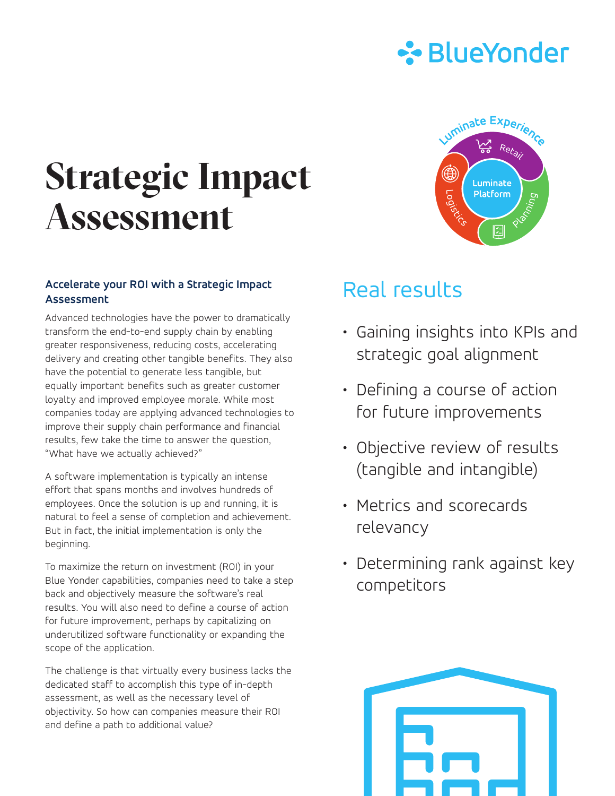

# **Strategic Impact Assessment**

### **Accelerate your ROI with a Strategic Impact Assessment**

Advanced technologies have the power to dramatically transform the end-to-end supply chain by enabling greater responsiveness, reducing costs, accelerating delivery and creating other tangible benefits. They also have the potential to generate less tangible, but equally important benefits such as greater customer loyalty and improved employee morale. While most companies today are applying advanced technologies to improve their supply chain performance and financial results, few take the time to answer the question, "What have we actually achieved?"

A software implementation is typically an intense effort that spans months and involves hundreds of employees. Once the solution is up and running, it is natural to feel a sense of completion and achievement. But in fact, the initial implementation is only the beginning.

To maximize the return on investment (ROI) in your Blue Yonder capabilities, companies need to take a step back and objectively measure the software's real results. You will also need to define a course of action for future improvement, perhaps by capitalizing on underutilized software functionality or expanding the scope of the application.

The challenge is that virtually every business lacks the dedicated staff to accomplish this type of in-depth assessment, as well as the necessary level of objectivity. So how can companies measure their ROI and define a path to additional value?



## Real results

- Gaining insights into KPIs and strategic goal alignment
- Defining a course of action for future improvements
- Objective review of results (tangible and intangible)
- Metrics and scorecards relevancy
- Determining rank against key competitors